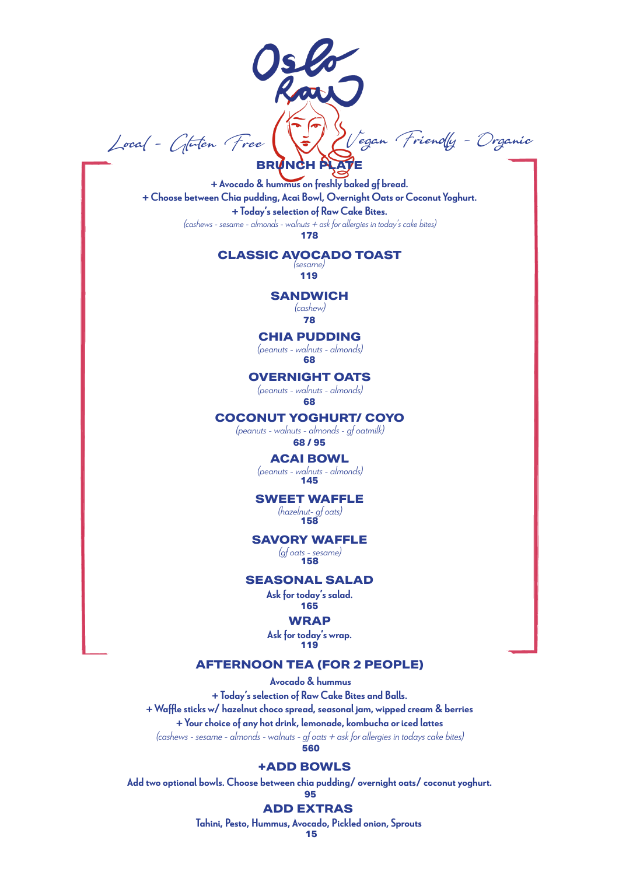Local - Gluten Free Verl LVegan Friendly - Organic **BRUNCH PLATE**

+ Avocado & hummus on freshly baked gf bread. + Choose between Chia pudding, Acai Bowl, Overnight Oats or Coconut Yoghurt. + Today's selection of Raw Cake Bites. (cashews - sesame - almonds - walnuts + ask for allergies in today's cake bites) **178**

# **CLASSIC AVOCADO TOAST** (sesame)

**119**

#### **SANDWICH**

(cashew)

## **78**

# **CHIA PUDDING**

(peanuts - walnuts - almonds) **68**

#### **OVERNIGHT OATS**

(peanuts - walnuts - almonds) **68**

#### **COCONUT YOGHURT/ COYO**

(peanuts - walnuts - almonds - gf oatmilk) **68 / 95**

### **ACAI BOWL**

(peanuts - walnuts - almonds) **145**

#### **SWEET WAFFLE**

(hazelnut- gf oats) **158**

#### **SAVORY WAFFLE**

(gf oats - sesame) **158**

#### **SEASONAL SALAD**

Ask for today's salad. **165**

#### **WRAP**

Ask for today's wrap. **119**

### **AFTERNOON TEA (FOR 2 PEOPLE)**

 Avocado & hummus + Today's selection of Raw Cake Bites and Balls. + Waffle sticks w/ hazelnut choco spread, seasonal jam, wipped cream & berries + Your choice of any hot drink, lemonade, kombucha or iced lattes (cashews - sesame - almonds - walnuts - gf oats + ask for allergies in todays cake bites) **560**

#### **+ADD BOWLS**

Add two optional bowls. Choose between chia pudding/ overnight oats/ coconut yoghurt. **95**

# **ADD EXTRAS**

Tahini, Pesto, Hummus, Avocado, Pickled onion, Sprouts